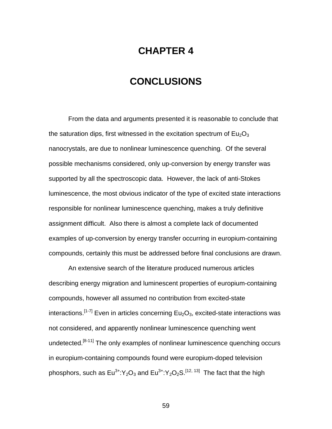## **CHAPTER 4**

## **CONCLUSIONS**

From the data and arguments presented it is reasonable to conclude that the saturation dips, first witnessed in the excitation spectrum of  $Eu<sub>2</sub>O<sub>3</sub>$ nanocrystals, are due to nonlinear luminescence quenching. Of the several possible mechanisms considered, only up-conversion by energy transfer was supported by all the spectroscopic data. However, the lack of anti-Stokes luminescence, the most obvious indicator of the type of excited state interactions responsible for nonlinear luminescence quenching, makes a truly definitive assignment difficult. Also there is almost a complete lack of documented examples of up-conversion by energy transfer occurring in europium-containing compounds, certainly this must be addressed before final conclusions are drawn.

An extensive search of the literature produced numerous articles describing energy migration and luminescent properties of europium-containing compounds, however all assumed no contribution from excited-state interactions.<sup>[1-7]</sup> Even in articles concerning Eu<sub>2</sub>O<sub>3</sub>, excited-state interactions was not considered, and apparently nonlinear luminescence quenching went undetected.<sup>[8-11]</sup> The only examples of nonlinear luminescence quenching occurs in europium-containing compounds found were europium-doped television phosphors, such as  $Eu^{3+}$ :Y<sub>2</sub>O<sub>3</sub> and  $Eu^{3+}$ :Y<sub>2</sub>O<sub>2</sub>S.<sup>[12, 13]</sup> The fact that the high

59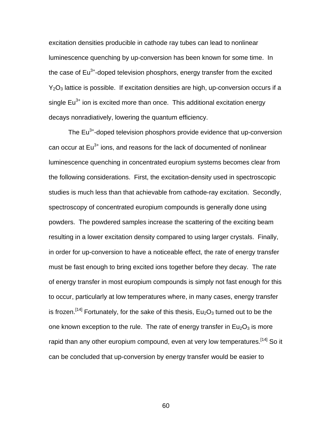excitation densities producible in cathode ray tubes can lead to nonlinear luminescence quenching by up-conversion has been known for some time. In the case of  $Eu^{3+}$ -doped television phosphors, energy transfer from the excited  $Y_2O_3$  lattice is possible. If excitation densities are high, up-conversion occurs if a single  $Eu^{3+}$  ion is excited more than once. This additional excitation energy decays nonradiatively, lowering the quantum efficiency.

The  $Eu<sup>3+</sup>$ -doped television phosphors provide evidence that up-conversion can occur at  $Eu<sup>3+</sup>$  ions, and reasons for the lack of documented of nonlinear luminescence quenching in concentrated europium systems becomes clear from the following considerations. First, the excitation-density used in spectroscopic studies is much less than that achievable from cathode-ray excitation. Secondly, spectroscopy of concentrated europium compounds is generally done using powders. The powdered samples increase the scattering of the exciting beam resulting in a lower excitation density compared to using larger crystals. Finally, in order for up-conversion to have a noticeable effect, the rate of energy transfer must be fast enough to bring excited ions together before they decay. The rate of energy transfer in most europium compounds is simply not fast enough for this to occur, particularly at low temperatures where, in many cases, energy transfer is frozen.<sup>[14]</sup> Fortunately, for the sake of this thesis,  $Eu_2O_3$  turned out to be the one known exception to the rule. The rate of energy transfer in  $Eu_2O_3$  is more rapid than any other europium compound, even at very low temperatures.<sup>[14]</sup> So it can be concluded that up-conversion by energy transfer would be easier to

60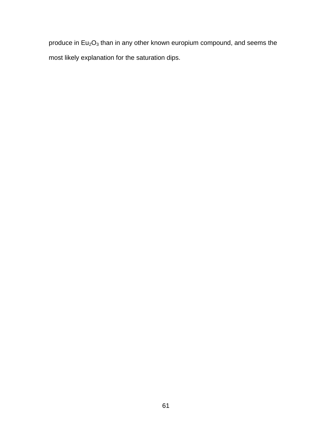produce in  $Eu_2O_3$  than in any other known europium compound, and seems the most likely explanation for the saturation dips.